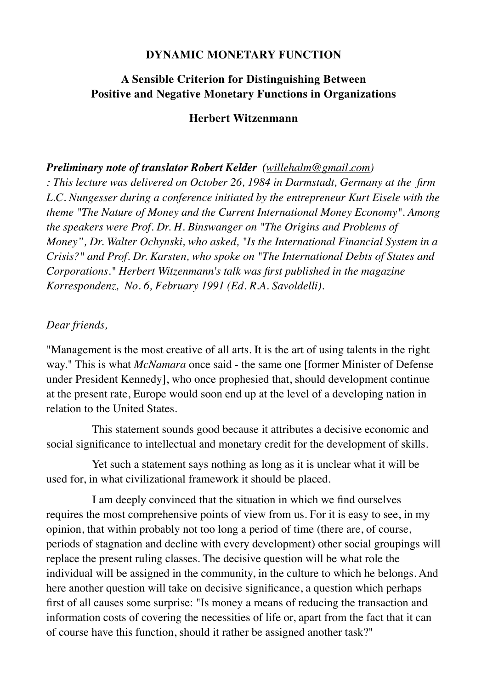### **DYNAMIC MONETARY FUNCTION**

### **A Sensible Criterion for Distinguishing Between Positive and Negative Monetary Functions in Organizations**

#### **Herbert Witzenmann**

#### *Preliminary note of translator Robert Kelder ([willehalm@gmail.com](mailto:info@willehalm.nl))*

*: This lecture was delivered on October 26, 1984 in Darmstadt, Germany at the firm L.C. Nungesser during a conference initiated by the entrepreneur Kurt Eisele with the theme "The Nature of Money and the Current International Money Economy". Among the speakers were Prof. Dr. H. Binswanger on "The Origins and Problems of Money", Dr. Walter Ochynski, who asked, "Is the International Financial System in a Crisis?" and Prof. Dr. Karsten, who spoke on "The International Debts of States and Corporations." Herbert Witzenmann's talk was first published in the magazine Korrespondenz, No. 6, February 1991 (Ed. R.A. Savoldelli).* 

#### *Dear friends,*

"Management is the most creative of all arts. It is the art of using talents in the right way." This is what *McNamara* once said - the same one [former Minister of Defense under President Kennedy], who once prophesied that, should development continue at the present rate, Europe would soon end up at the level of a developing nation in relation to the United States.

 This statement sounds good because it attributes a decisive economic and social significance to intellectual and monetary credit for the development of skills.

 Yet such a statement says nothing as long as it is unclear what it will be used for, in what civilizational framework it should be placed.

 I am deeply convinced that the situation in which we find ourselves requires the most comprehensive points of view from us. For it is easy to see, in my opinion, that within probably not too long a period of time (there are, of course, periods of stagnation and decline with every development) other social groupings will replace the present ruling classes. The decisive question will be what role the individual will be assigned in the community, in the culture to which he belongs. And here another question will take on decisive significance, a question which perhaps first of all causes some surprise: "Is money a means of reducing the transaction and information costs of covering the necessities of life or, apart from the fact that it can of course have this function, should it rather be assigned another task?"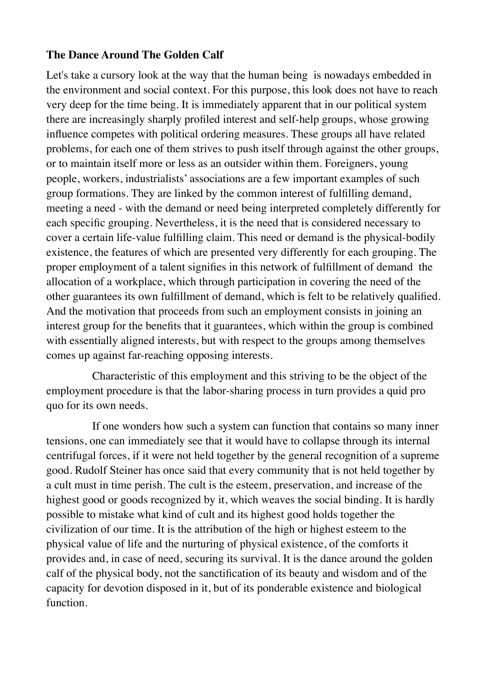### **The Dance Around The Golden Calf**

Let's take a cursory look at the way that the human being is nowadays embedded in the environment and social context. For this purpose, this look does not have to reach very deep for the time being. It is immediately apparent that in our political system there are increasingly sharply profiled interest and self-help groups, whose growing influence competes with political ordering measures. These groups all have related problems, for each one of them strives to push itself through against the other groups, or to maintain itself more or less as an outsider within them. Foreigners, young people, workers, industrialists' associations are a few important examples of such group formations. They are linked by the common interest of fulfilling demand, meeting a need - with the demand or need being interpreted completely differently for each specific grouping. Nevertheless, it is the need that is considered necessary to cover a certain life-value fulfilling claim. This need or demand is the physical-bodily existence, the features of which are presented very differently for each grouping. The proper employment of a talent signifies in this network of fulfillment of demand the allocation of a workplace, which through participation in covering the need of the other guarantees its own fulfillment of demand, which is felt to be relatively qualified. And the motivation that proceeds from such an employment consists in joining an interest group for the benefits that it guarantees, which within the group is combined with essentially aligned interests, but with respect to the groups among themselves comes up against far-reaching opposing interests.

 Characteristic of this employment and this striving to be the object of the employment procedure is that the labor-sharing process in turn provides a quid pro quo for its own needs.

 If one wonders how such a system can function that contains so many inner tensions, one can immediately see that it would have to collapse through its internal centrifugal forces, if it were not held together by the general recognition of a supreme good. Rudolf Steiner has once said that every community that is not held together by a cult must in time perish. The cult is the esteem, preservation, and increase of the highest good or goods recognized by it, which weaves the social binding. It is hardly possible to mistake what kind of cult and its highest good holds together the civilization of our time. It is the attribution of the high or highest esteem to the physical value of life and the nurturing of physical existence, of the comforts it provides and, in case of need, securing its survival. It is the dance around the golden calf of the physical body, not the sanctification of its beauty and wisdom and of the capacity for devotion disposed in it, but of its ponderable existence and biological function.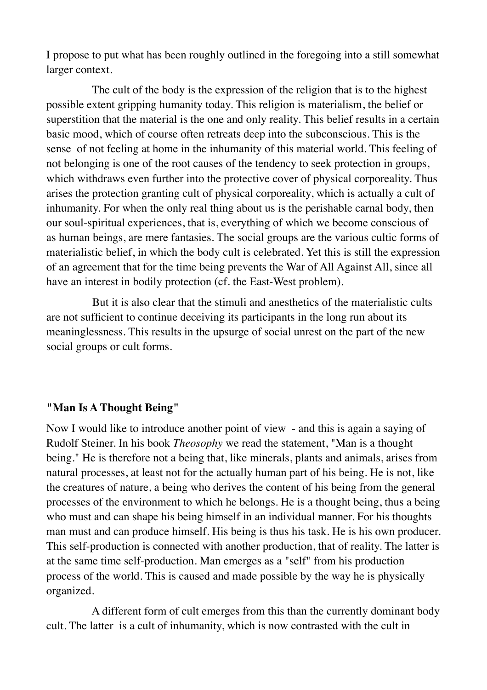I propose to put what has been roughly outlined in the foregoing into a still somewhat larger context.

 The cult of the body is the expression of the religion that is to the highest possible extent gripping humanity today. This religion is materialism, the belief or superstition that the material is the one and only reality. This belief results in a certain basic mood, which of course often retreats deep into the subconscious. This is the sense of not feeling at home in the inhumanity of this material world. This feeling of not belonging is one of the root causes of the tendency to seek protection in groups, which withdraws even further into the protective cover of physical corporeality. Thus arises the protection granting cult of physical corporeality, which is actually a cult of inhumanity. For when the only real thing about us is the perishable carnal body, then our soul-spiritual experiences, that is, everything of which we become conscious of as human beings, are mere fantasies. The social groups are the various cultic forms of materialistic belief, in which the body cult is celebrated. Yet this is still the expression of an agreement that for the time being prevents the War of All Against All, since all have an interest in bodily protection (cf. the East-West problem).

 But it is also clear that the stimuli and anesthetics of the materialistic cults are not sufficient to continue deceiving its participants in the long run about its meaninglessness. This results in the upsurge of social unrest on the part of the new social groups or cult forms.

#### **"Man Is A Thought Being"**

Now I would like to introduce another point of view - and this is again a saying of Rudolf Steiner. In his book *Theosophy* we read the statement, "Man is a thought being." He is therefore not a being that, like minerals, plants and animals, arises from natural processes, at least not for the actually human part of his being. He is not, like the creatures of nature, a being who derives the content of his being from the general processes of the environment to which he belongs. He is a thought being, thus a being who must and can shape his being himself in an individual manner. For his thoughts man must and can produce himself. His being is thus his task. He is his own producer. This self-production is connected with another production, that of reality. The latter is at the same time self-production. Man emerges as a "self" from his production process of the world. This is caused and made possible by the way he is physically organized.

 A different form of cult emerges from this than the currently dominant body cult. The latter is a cult of inhumanity, which is now contrasted with the cult in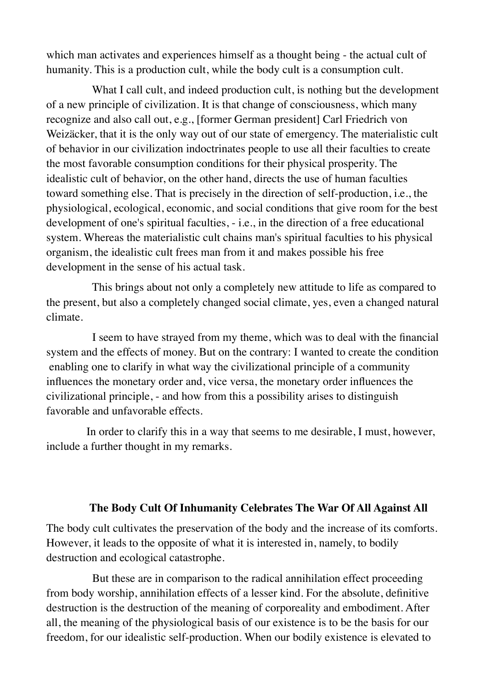which man activates and experiences himself as a thought being - the actual cult of humanity. This is a production cult, while the body cult is a consumption cult.

What I call cult, and indeed production cult, is nothing but the development of a new principle of civilization. It is that change of consciousness, which many recognize and also call out, e.g., [former German president] Carl Friedrich von Weizäcker, that it is the only way out of our state of emergency. The materialistic cult of behavior in our civilization indoctrinates people to use all their faculties to create the most favorable consumption conditions for their physical prosperity. The idealistic cult of behavior, on the other hand, directs the use of human faculties toward something else. That is precisely in the direction of self-production, i.e., the physiological, ecological, economic, and social conditions that give room for the best development of one's spiritual faculties, - i.e., in the direction of a free educational system. Whereas the materialistic cult chains man's spiritual faculties to his physical organism, the idealistic cult frees man from it and makes possible his free development in the sense of his actual task.

 This brings about not only a completely new attitude to life as compared to the present, but also a completely changed social climate, yes, even a changed natural climate.

 I seem to have strayed from my theme, which was to deal with the financial system and the effects of money. But on the contrary: I wanted to create the condition enabling one to clarify in what way the civilizational principle of a community influences the monetary order and, vice versa, the monetary order influences the civilizational principle, - and how from this a possibility arises to distinguish favorable and unfavorable effects.

 In order to clarify this in a way that seems to me desirable, I must, however, include a further thought in my remarks.

#### **The Body Cult Of Inhumanity Celebrates The War Of All Against All**

The body cult cultivates the preservation of the body and the increase of its comforts. However, it leads to the opposite of what it is interested in, namely, to bodily destruction and ecological catastrophe.

 But these are in comparison to the radical annihilation effect proceeding from body worship, annihilation effects of a lesser kind. For the absolute, definitive destruction is the destruction of the meaning of corporeality and embodiment. After all, the meaning of the physiological basis of our existence is to be the basis for our freedom, for our idealistic self-production. When our bodily existence is elevated to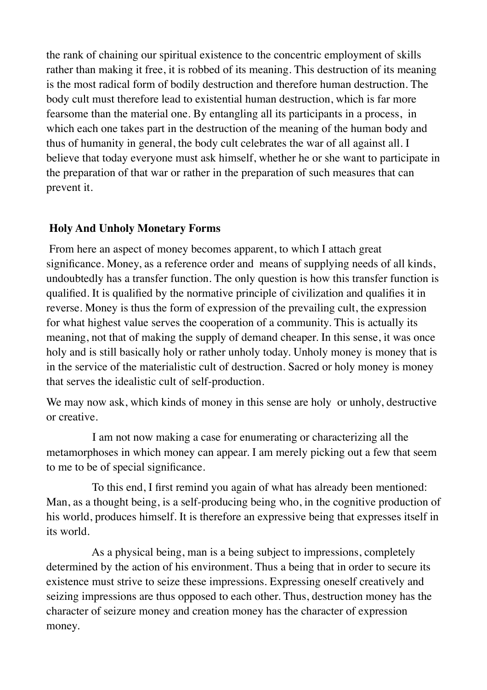the rank of chaining our spiritual existence to the concentric employment of skills rather than making it free, it is robbed of its meaning. This destruction of its meaning is the most radical form of bodily destruction and therefore human destruction. The body cult must therefore lead to existential human destruction, which is far more fearsome than the material one. By entangling all its participants in a process, in which each one takes part in the destruction of the meaning of the human body and thus of humanity in general, the body cult celebrates the war of all against all. I believe that today everyone must ask himself, whether he or she want to participate in the preparation of that war or rather in the preparation of such measures that can prevent it.

### **Holy And Unholy Monetary Forms**

From here an aspect of money becomes apparent, to which I attach great significance. Money, as a reference order and means of supplying needs of all kinds, undoubtedly has a transfer function. The only question is how this transfer function is qualified. It is qualified by the normative principle of civilization and qualifies it in reverse. Money is thus the form of expression of the prevailing cult, the expression for what highest value serves the cooperation of a community. This is actually its meaning, not that of making the supply of demand cheaper. In this sense, it was once holy and is still basically holy or rather unholy today. Unholy money is money that is in the service of the materialistic cult of destruction. Sacred or holy money is money that serves the idealistic cult of self-production.

We may now ask, which kinds of money in this sense are holy or unholy, destructive or creative.

 I am not now making a case for enumerating or characterizing all the metamorphoses in which money can appear. I am merely picking out a few that seem to me to be of special significance.

 To this end, I first remind you again of what has already been mentioned: Man, as a thought being, is a self-producing being who, in the cognitive production of his world, produces himself. It is therefore an expressive being that expresses itself in its world.

 As a physical being, man is a being subject to impressions, completely determined by the action of his environment. Thus a being that in order to secure its existence must strive to seize these impressions. Expressing oneself creatively and seizing impressions are thus opposed to each other. Thus, destruction money has the character of seizure money and creation money has the character of expression money.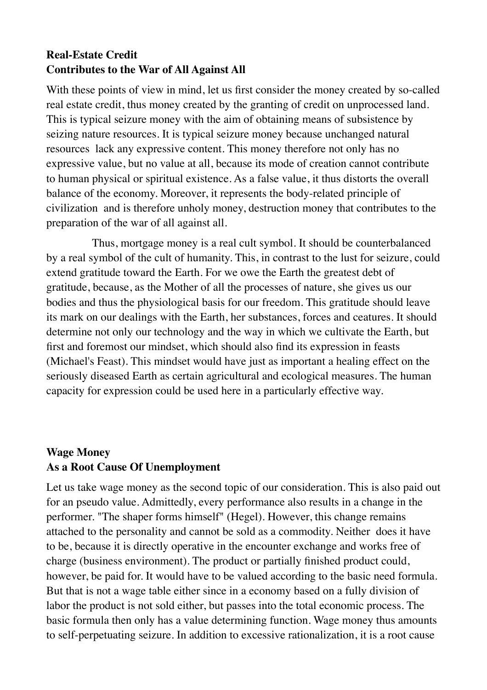# **Real-Estate Credit Contributes to the War of All Against All**

With these points of view in mind, let us first consider the money created by so-called real estate credit, thus money created by the granting of credit on unprocessed land. This is typical seizure money with the aim of obtaining means of subsistence by seizing nature resources. It is typical seizure money because unchanged natural resources lack any expressive content. This money therefore not only has no expressive value, but no value at all, because its mode of creation cannot contribute to human physical or spiritual existence. As a false value, it thus distorts the overall balance of the economy. Moreover, it represents the body-related principle of civilization and is therefore unholy money, destruction money that contributes to the preparation of the war of all against all.

 Thus, mortgage money is a real cult symbol. It should be counterbalanced by a real symbol of the cult of humanity. This, in contrast to the lust for seizure, could extend gratitude toward the Earth. For we owe the Earth the greatest debt of gratitude, because, as the Mother of all the processes of nature, she gives us our bodies and thus the physiological basis for our freedom. This gratitude should leave its mark on our dealings with the Earth, her substances, forces and ceatures. It should determine not only our technology and the way in which we cultivate the Earth, but first and foremost our mindset, which should also find its expression in feasts (Michael's Feast). This mindset would have just as important a healing effect on the seriously diseased Earth as certain agricultural and ecological measures. The human capacity for expression could be used here in a particularly effective way.

## **Wage Money As a Root Cause Of Unemployment**

Let us take wage money as the second topic of our consideration. This is also paid out for an pseudo value. Admittedly, every performance also results in a change in the performer. "The shaper forms himself" (Hegel). However, this change remains attached to the personality and cannot be sold as a commodity. Neither does it have to be, because it is directly operative in the encounter exchange and works free of charge (business environment). The product or partially finished product could, however, be paid for. It would have to be valued according to the basic need formula. But that is not a wage table either since in a economy based on a fully division of labor the product is not sold either, but passes into the total economic process. The basic formula then only has a value determining function. Wage money thus amounts to self-perpetuating seizure. In addition to excessive rationalization, it is a root cause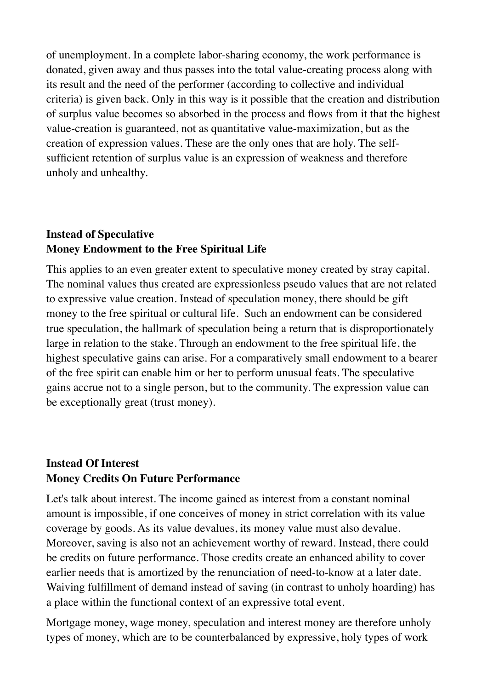of unemployment. In a complete labor-sharing economy, the work performance is donated, given away and thus passes into the total value-creating process along with its result and the need of the performer (according to collective and individual criteria) is given back. Only in this way is it possible that the creation and distribution of surplus value becomes so absorbed in the process and flows from it that the highest value-creation is guaranteed, not as quantitative value-maximization, but as the creation of expression values. These are the only ones that are holy. The selfsufficient retention of surplus value is an expression of weakness and therefore unholy and unhealthy.

### **Instead of Speculative Money Endowment to the Free Spiritual Life**

This applies to an even greater extent to speculative money created by stray capital. The nominal values thus created are expressionless pseudo values that are not related to expressive value creation. Instead of speculation money, there should be gift money to the free spiritual or cultural life. Such an endowment can be considered true speculation, the hallmark of speculation being a return that is disproportionately large in relation to the stake. Through an endowment to the free spiritual life, the highest speculative gains can arise. For a comparatively small endowment to a bearer of the free spirit can enable him or her to perform unusual feats. The speculative gains accrue not to a single person, but to the community. The expression value can be exceptionally great (trust money).

# **Instead Of Interest Money Credits On Future Performance**

Let's talk about interest. The income gained as interest from a constant nominal amount is impossible, if one conceives of money in strict correlation with its value coverage by goods. As its value devalues, its money value must also devalue. Moreover, saving is also not an achievement worthy of reward. Instead, there could be credits on future performance. Those credits create an enhanced ability to cover earlier needs that is amortized by the renunciation of need-to-know at a later date. Waiving fulfillment of demand instead of saving (in contrast to unholy hoarding) has a place within the functional context of an expressive total event.

Mortgage money, wage money, speculation and interest money are therefore unholy types of money, which are to be counterbalanced by expressive, holy types of work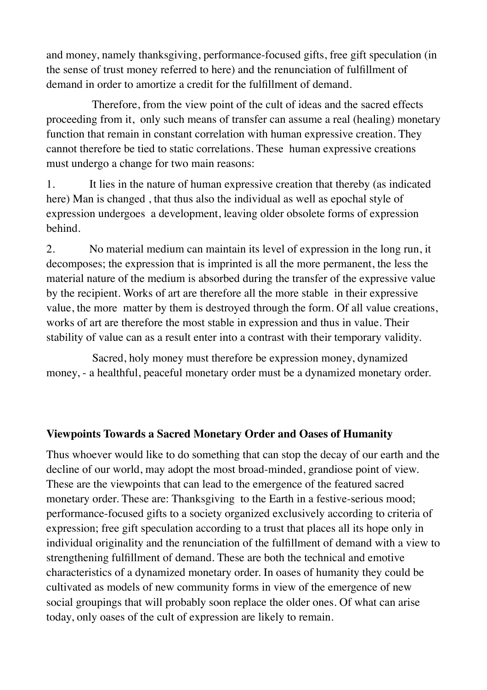and money, namely thanksgiving, performance-focused gifts, free gift speculation (in the sense of trust money referred to here) and the renunciation of fulfillment of demand in order to amortize a credit for the fulfillment of demand.

 Therefore, from the view point of the cult of ideas and the sacred effects proceeding from it, only such means of transfer can assume a real (healing) monetary function that remain in constant correlation with human expressive creation. They cannot therefore be tied to static correlations. These human expressive creations must undergo a change for two main reasons:

1. It lies in the nature of human expressive creation that thereby (as indicated here) Man is changed , that thus also the individual as well as epochal style of expression undergoes a development, leaving older obsolete forms of expression behind.

2. No material medium can maintain its level of expression in the long run, it decomposes; the expression that is imprinted is all the more permanent, the less the material nature of the medium is absorbed during the transfer of the expressive value by the recipient. Works of art are therefore all the more stable in their expressive value, the more matter by them is destroyed through the form. Of all value creations, works of art are therefore the most stable in expression and thus in value. Their stability of value can as a result enter into a contrast with their temporary validity.

 Sacred, holy money must therefore be expression money, dynamized money, - a healthful, peaceful monetary order must be a dynamized monetary order.

### **Viewpoints Towards a Sacred Monetary Order and Oases of Humanity**

Thus whoever would like to do something that can stop the decay of our earth and the decline of our world, may adopt the most broad-minded, grandiose point of view. These are the viewpoints that can lead to the emergence of the featured sacred monetary order. These are: Thanksgiving to the Earth in a festive-serious mood; performance-focused gifts to a society organized exclusively according to criteria of expression; free gift speculation according to a trust that places all its hope only in individual originality and the renunciation of the fulfillment of demand with a view to strengthening fulfillment of demand. These are both the technical and emotive characteristics of a dynamized monetary order. In oases of humanity they could be cultivated as models of new community forms in view of the emergence of new social groupings that will probably soon replace the older ones. Of what can arise today, only oases of the cult of expression are likely to remain.